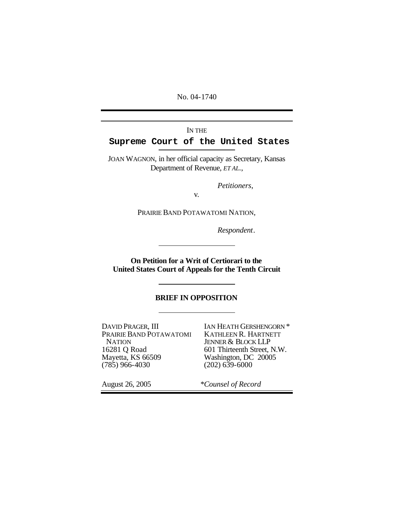No. 04-1740

## IN THE **Supreme Court of the United States**

JOAN WAGNON, in her official capacity as Secretary, Kansas Department of Revenue, *ET AL.*,

*Petitioners*,

v.

PRAIRIE BAND POTAWATOMI NATION,

*Respondent*.

**On Petition for a Writ of Certiorari to the United States Court of Appeals for the Tenth Circuit**

### **BRIEF IN OPPOSITION**

DAVID PRAGER, III PRAIRIE BAND POTAWATOMI **NATION** 16281 Q Road Mayetta, KS 66509 (785) 966-4030

IAN HEATH GERSHENGORN \* KATHLEEN R. HARTNETT JENNER & BLOCK LLP 601 Thirteenth Street, N.W. Washington, DC 20005  $(202) 639 - 6000$ 

August 26, 2005 *\*Counsel of Record*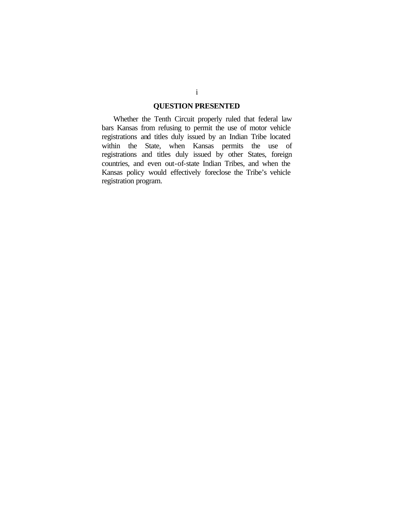## **QUESTION PRESENTED**

Whether the Tenth Circuit properly ruled that federal law bars Kansas from refusing to permit the use of motor vehicle registrations and titles duly issued by an Indian Tribe located within the State, when Kansas permits the use of registrations and titles duly issued by other States, foreign countries, and even out-of-state Indian Tribes, and when the Kansas policy would effectively foreclose the Tribe's vehicle registration program.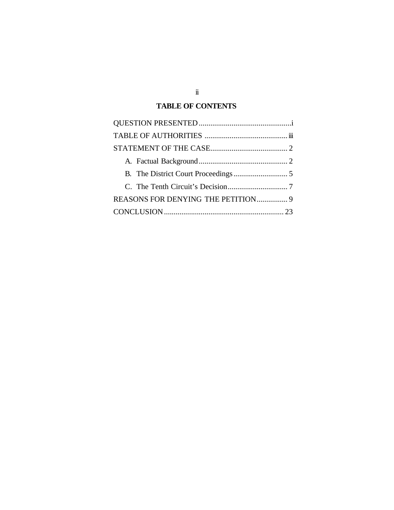## **TABLE OF CONTENTS**

| REASONS FOR DENYING THE PETITION 9 |  |
|------------------------------------|--|
|                                    |  |

ii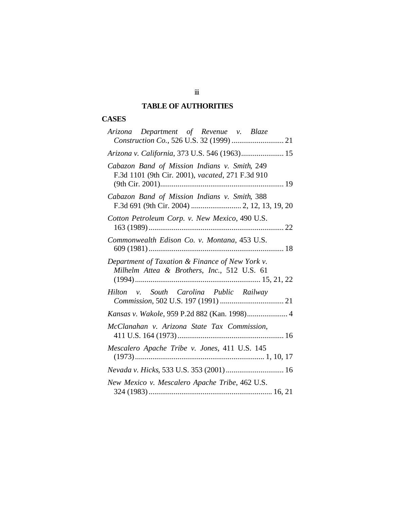# **TABLE OF AUTHORITIES**

# **CASES**

| Arizona Department of Revenue v. Blaze                                                            |
|---------------------------------------------------------------------------------------------------|
|                                                                                                   |
| Arizona v. California, 373 U.S. 546 (1963) 15                                                     |
| Cabazon Band of Mission Indians v. Smith, 249<br>F.3d 1101 (9th Cir. 2001), vacated, 271 F.3d 910 |
| Cabazon Band of Mission Indians v. Smith, 388                                                     |
| Cotton Petroleum Corp. v. New Mexico, 490 U.S.                                                    |
| Commonwealth Edison Co. v. Montana, 453 U.S.                                                      |
| Department of Taxation & Finance of New York v.<br>Milhelm Attea & Brothers, Inc., 512 U.S. 61    |
| Hilton v. South Carolina Public Railway                                                           |
| Kansas v. Wakole, 959 P.2d 882 (Kan. 1998) 4                                                      |
| McClanahan v. Arizona State Tax Commission,                                                       |
| Mescalero Apache Tribe v. Jones, 411 U.S. 145                                                     |
| Nevada v. Hicks, 533 U.S. 353 (2001) 16                                                           |
| New Mexico v. Mescalero Apache Tribe, 462 U.S.                                                    |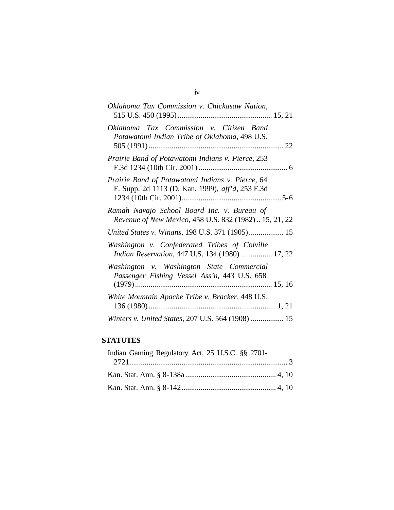| Oklahoma Tax Commission v. Chickasaw Nation,                                                          |  |
|-------------------------------------------------------------------------------------------------------|--|
| Oklahoma Tax Commission v. Citizen Band<br>Potawatomi Indian Tribe of Oklahoma, 498 U.S.              |  |
| Prairie Band of Potawatomi Indians v. Pierce, 253                                                     |  |
| Prairie Band of Potawatomi Indians v. Pierce, 64<br>F. Supp. 2d 1113 (D. Kan. 1999), aff'd, 253 F.3d  |  |
| Ramah Navajo School Board Inc. v. Bureau of<br>Revenue of New Mexico, 458 U.S. 832 (1982)  15, 21, 22 |  |
| United States v. Winans, 198 U.S. 371 (1905) 15                                                       |  |
| Washington v. Confederated Tribes of Colville<br>Indian Reservation, 447 U.S. 134 (1980)  17, 22      |  |
| Washington v. Washington State Commercial<br>Passenger Fishing Vessel Ass'n, 443 U.S. 658             |  |
| White Mountain Apache Tribe v. Bracker, 448 U.S.                                                      |  |
| Winters v. United States, 207 U.S. 564 (1908)  15                                                     |  |

## **STATUTES**

| Indian Gaming Regulatory Act, 25 U.S.C. §§ 2701- |  |
|--------------------------------------------------|--|
|                                                  |  |
|                                                  |  |
|                                                  |  |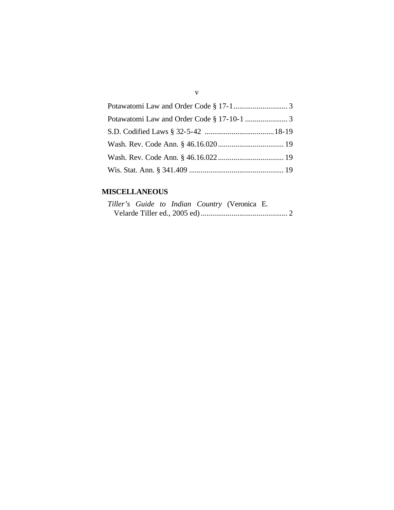## **MISCELLANEOUS**

|  |  | Tiller's Guide to Indian Country (Veronica E. |  |
|--|--|-----------------------------------------------|--|
|  |  |                                               |  |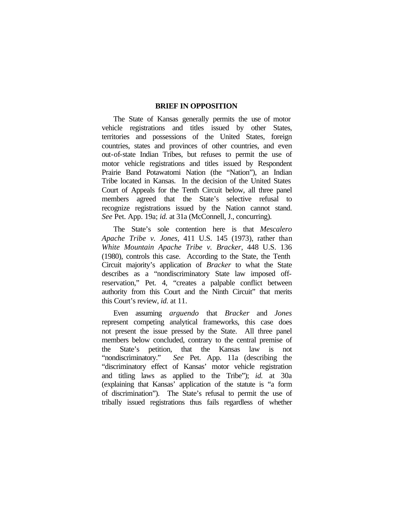### **BRIEF IN OPPOSITION**

The State of Kansas generally permits the use of motor vehicle registrations and titles issued by other States, territories and possessions of the United States, foreign countries, states and provinces of other countries, and even out-of-state Indian Tribes, but refuses to permit the use of motor vehicle registrations and titles issued by Respondent Prairie Band Potawatomi Nation (the "Nation"), an Indian Tribe located in Kansas. In the decision of the United States Court of Appeals for the Tenth Circuit below, all three panel members agreed that the State's selective refusal to recognize registrations issued by the Nation cannot stand. *See* Pet. App. 19a; *id.* at 31a (McConnell, J., concurring).

The State's sole contention here is that *Mescalero Apache Tribe v. Jones*, 411 U.S. 145 (1973), rather than *White Mountain Apache Tribe v. Bracker*, 448 U.S. 136 (1980), controls this case. According to the State, the Tenth Circuit majority's application of *Bracker* to what the State describes as a "nondiscriminatory State law imposed offreservation," Pet. 4, "creates a palpable conflict between authority from this Court and the Ninth Circuit" that merits this Court's review, *id.* at 11.

Even assuming *arguendo* that *Bracker* and *Jones* represent competing analytical frameworks, this case does not present the issue pressed by the State. All three panel members below concluded, contrary to the central premise of the State's petition, that the Kansas law is not "nondiscriminatory." *See* Pet. App. 11a (describing the "discriminatory effect of Kansas' motor vehicle registration and titling laws as applied to the Tribe"); *id.* at 30a (explaining that Kansas' application of the statute is "a form of discrimination"). The State's refusal to permit the use of tribally issued registrations thus fails regardless of whether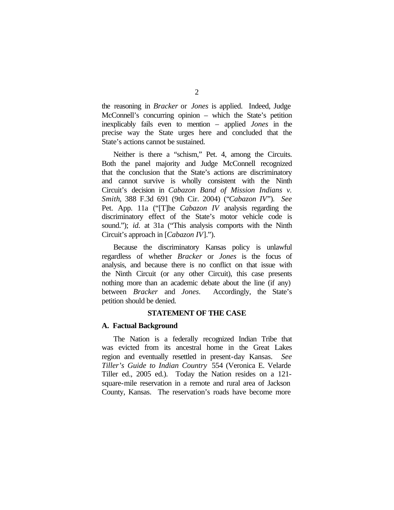the reasoning in *Bracker* or *Jones* is applied. Indeed, Judge McConnell's concurring opinion – which the State's petition inexplicably fails even to mention – applied *Jones* in the precise way the State urges here and concluded that the State's actions cannot be sustained.

Neither is there a "schism," Pet. 4, among the Circuits. Both the panel majority and Judge McConnell recognized that the conclusion that the State's actions are discriminatory and cannot survive is wholly consistent with the Ninth Circuit's decision in *Cabazon Band of Mission Indians v. Smith*, 388 F.3d 691 (9th Cir. 2004) ("*Cabazon IV*"). *See* Pet. App. 11a ("[T]he *Cabazon IV* analysis regarding the discriminatory effect of the State's motor vehicle code is sound."); *id.* at 31a ("This analysis comports with the Ninth Circuit's approach in [*Cabazon IV*].").

Because the discriminatory Kansas policy is unlawful regardless of whether *Bracker* or *Jones* is the focus of analysis, and because there is no conflict on that issue with the Ninth Circuit (or any other Circuit), this case presents nothing more than an academic debate about the line (if any) between *Bracker* and *Jones*. Accordingly, the State's petition should be denied.

### **STATEMENT OF THE CASE**

#### **A. Factual Background**

The Nation is a federally recognized Indian Tribe that was evicted from its ancestral home in the Great Lakes region and eventually resettled in present-day Kansas. *See Tiller's Guide to Indian Country* 554 (Veronica E. Velarde Tiller ed., 2005 ed.). Today the Nation resides on a 121 square-mile reservation in a remote and rural area of Jackson County, Kansas. The reservation's roads have become more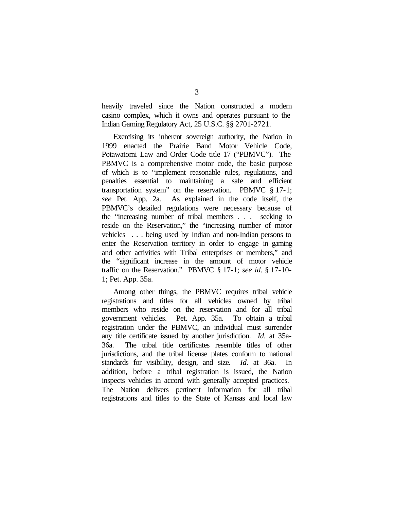heavily traveled since the Nation constructed a modern casino complex, which it owns and operates pursuant to the Indian Gaming Regulatory Act, 25 U.S.C. §§ 2701-2721.

Exercising its inherent sovereign authority, the Nation in 1999 enacted the Prairie Band Motor Vehicle Code, Potawatomi Law and Order Code title 17 ("PBMVC"). The PBMVC is a comprehensive motor code, the basic purpose of which is to "implement reasonable rules, regulations, and penalties essential to maintaining a safe and efficient transportation system" on the reservation. PBMVC § 17-1; *see* Pet. App. 2a. As explained in the code itself, the PBMVC's detailed regulations were necessary because of the "increasing number of tribal members . . . seeking to reside on the Reservation," the "increasing number of motor vehicles . . . being used by Indian and non-Indian persons to enter the Reservation territory in order to engage in gaming and other activities with Tribal enterprises or members," and the "significant increase in the amount of motor vehicle traffic on the Reservation." PBMVC § 17-1; *see id.* § 17-10- 1; Pet. App. 35a.

Among other things, the PBMVC requires tribal vehicle registrations and titles for all vehicles owned by tribal members who reside on the reservation and for all tribal government vehicles. Pet. App. 35a. To obtain a tribal registration under the PBMVC, an individual must surrender any title certificate issued by another jurisdiction. *Id.* at 35a-36a. The tribal title certificates resemble titles of other jurisdictions, and the tribal license plates conform to national standards for visibility, design, and size. *Id.* at 36a. In addition, before a tribal registration is issued, the Nation inspects vehicles in accord with generally accepted practices. The Nation delivers pertinent information for all tribal registrations and titles to the State of Kansas and local law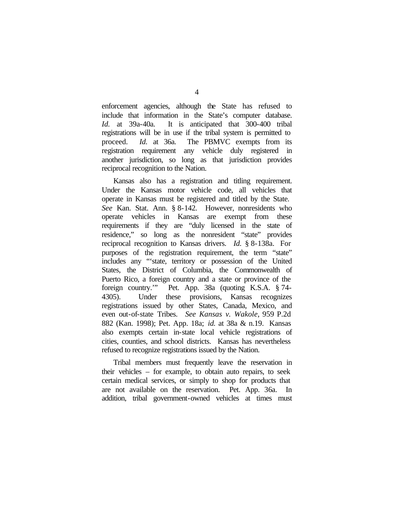enforcement agencies, although the State has refused to include that information in the State's computer database. *Id.* at 39a-40a. It is anticipated that 300-400 tribal registrations will be in use if the tribal system is permitted to proceed. *Id.* at 36a. The PBMVC exempts from its registration requirement any vehicle duly registered in another jurisdiction, so long as that jurisdiction provides reciprocal recognition to the Nation.

Kansas also has a registration and titling requirement. Under the Kansas motor vehicle code, all vehicles that operate in Kansas must be registered and titled by the State. *See* Kan. Stat. Ann. § 8-142. However, nonresidents who operate vehicles in Kansas are exempt from these requirements if they are "duly licensed in the state of residence," so long as the nonresident "state" provides reciprocal recognition to Kansas drivers. *Id.* § 8-138a. For purposes of the registration requirement, the term "state" includes any "'state, territory or possession of the United States, the District of Columbia, the Commonwealth of Puerto Rico, a foreign country and a state or province of the foreign country.'" Pet. App. 38a (quoting K.S.A. § 74- 4305). Under these provisions, Kansas recognizes registrations issued by other States, Canada, Mexico, and even out-of-state Tribes. *See Kansas v. Wakole*, 959 P.2d 882 (Kan. 1998); Pet. App. 18a; *id.* at 38a & n.19. Kansas also exempts certain in-state local vehicle registrations of cities, counties, and school districts. Kansas has nevertheless refused to recognize registrations issued by the Nation.

Tribal members must frequently leave the reservation in their vehicles – for example, to obtain auto repairs, to seek certain medical services, or simply to shop for products that are not available on the reservation. Pet. App. 36a. In addition, tribal government-owned vehicles at times must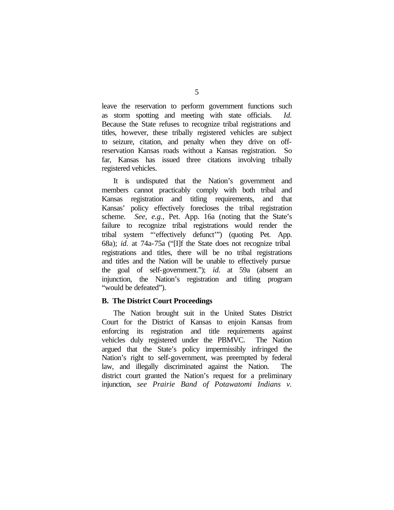leave the reservation to perform government functions such as storm spotting and meeting with state officials. *Id.* Because the State refuses to recognize tribal registrations and titles, however, these tribally registered vehicles are subject to seizure, citation, and penalty when they drive on offreservation Kansas roads without a Kansas registration. So far, Kansas has issued three citations involving tribally registered vehicles.

It is undisputed that the Nation's government and members cannot practicably comply with both tribal and Kansas registration and titling requirements, and that Kansas' policy effectively forecloses the tribal registration scheme. *See, e.g.*, Pet. App. 16a (noting that the State's failure to recognize tribal registrations would render the tribal system "'effectively defunct'") (quoting Pet. App. 68a); *id.* at 74a-75a ("[I]f the State does not recognize tribal registrations and titles, there will be no tribal registrations and titles and the Nation will be unable to effectively pursue the goal of self-government."); *id.* at 59a (absent an injunction, the Nation's registration and titling program "would be defeated").

### **B. The District Court Proceedings**

The Nation brought suit in the United States District Court for the District of Kansas to enjoin Kansas from enforcing its registration and title requirements against vehicles duly registered under the PBMVC. The Nation argued that the State's policy impermissibly infringed the Nation's right to self-government, was preempted by federal law, and illegally discriminated against the Nation. The district court granted the Nation's request for a preliminary injunction, *see Prairie Band of Potawatomi Indians v.*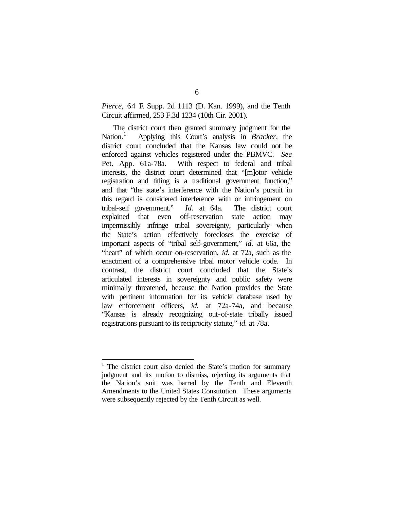*Pierce*, 64 F. Supp. 2d 1113 (D. Kan. 1999), and the Tenth Circuit affirmed, 253 F.3d 1234 (10th Cir. 2001).

The district court then granted summary judgment for the Nation. $<sup>1</sup>$ </sup> Applying this Court's analysis in *Bracker*, the district court concluded that the Kansas law could not be enforced against vehicles registered under the PBMVC. *See* Pet. App. 61a-78a. With respect to federal and tribal interests, the district court determined that "[m]otor vehicle registration and titling is a traditional government function," and that "the state's interference with the Nation's pursuit in this regard is considered interference with or infringement on tribal-self government." *Id.* at 64a. The district court explained that even off-reservation state action may impermissibly infringe tribal sovereignty, particularly when the State's action effectively forecloses the exercise of important aspects of "tribal self-government," *id.* at 66a, the "heart" of which occur on-reservation, *id.* at 72a, such as the enactment of a comprehensive tribal motor vehicle code. In contrast, the district court concluded that the State's articulated interests in sovereignty and public safety were minimally threatened, because the Nation provides the State with pertinent information for its vehicle database used by law enforcement officers, *id.* at 72a-74a, and because "Kansas is already recognizing out-of-state tribally issued registrations pursuant to its reciprocity statute," *id.* at 78a.

 $\overline{\phantom{a}}$ 

<sup>1</sup> The district court also denied the State's motion for summary judgment and its motion to dismiss, rejecting its arguments that the Nation's suit was barred by the Tenth and Eleventh Amendments to the United States Constitution. These arguments were subsequently rejected by the Tenth Circuit as well.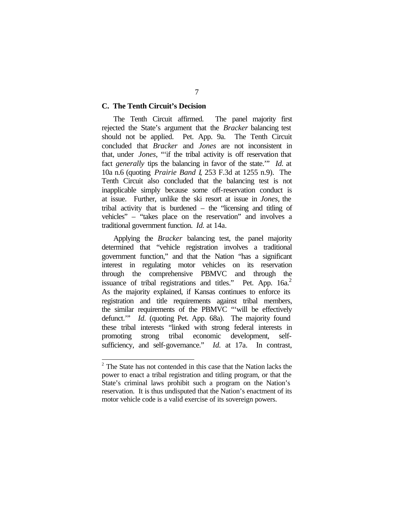### **C. The Tenth Circuit's Decision**

The Tenth Circuit affirmed. The panel majority first rejected the State's argument that the *Bracker* balancing test should not be applied. Pet. App. 9a. The Tenth Circuit concluded that *Bracker* and *Jones* are not inconsistent in that, under *Jones*, "'if the tribal activity is off reservation that fact *generally* tips the balancing in favor of the state.'" *Id.* at 10a n.6 (quoting *Prairie Band I*, 253 F.3d at 1255 n.9). The Tenth Circuit also concluded that the balancing test is not inapplicable simply because some off-reservation conduct is at issue. Further, unlike the ski resort at issue in *Jones*, the tribal activity that is burdened – the "licensing and titling of vehicles" – "takes place on the reservation" and involves a traditional government function. *Id.* at 14a.

Applying the *Bracker* balancing test, the panel majority determined that "vehicle registration involves a traditional government function," and that the Nation "has a significant interest in regulating motor vehicles on its reservation through the comprehensive PBMVC and through the issuance of tribal registrations and titles." Pet. App.  $16a$ .<sup>2</sup> As the majority explained, if Kansas continues to enforce its registration and title requirements against tribal members, the similar requirements of the PBMVC "'will be effectively defunct.'" *Id.* (quoting Pet. App. 68a). The majority found these tribal interests "linked with strong federal interests in promoting strong tribal economic development, selfsufficiency, and self-governance." *Id.* at 17a. In contrast,

 $2^2$  The State has not contended in this case that the Nation lacks the power to enact a tribal registration and titling program, or that the State's criminal laws prohibit such a program on the Nation's reservation. It is thus undisputed that the Nation's enactment of its motor vehicle code is a valid exercise of its sovereign powers.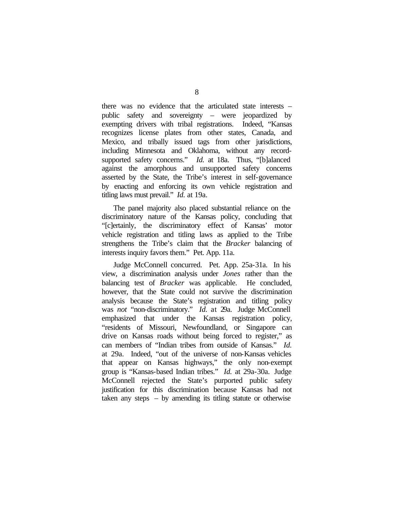there was no evidence that the articulated state interests – public safety and sovereignty – were jeopardized by exempting drivers with tribal registrations. Indeed, "Kansas recognizes license plates from other states, Canada, and Mexico, and tribally issued tags from other jurisdictions, including Minnesota and Oklahoma, without any recordsupported safety concerns." *Id.* at 18a. Thus, "[b]alanced against the amorphous and unsupported safety concerns asserted by the State, the Tribe's interest in self-governance by enacting and enforcing its own vehicle registration and titling laws must prevail." *Id.* at 19a.

The panel majority also placed substantial reliance on the discriminatory nature of the Kansas policy, concluding that "[c]ertainly, the discriminatory effect of Kansas' motor vehicle registration and titling laws as applied to the Tribe strengthens the Tribe's claim that the *Bracker* balancing of interests inquiry favors them." Pet. App. 11a.

Judge McConnell concurred. Pet. App. 25a-31a. In his view, a discrimination analysis under *Jones* rather than the balancing test of *Bracker* was applicable. He concluded, however, that the State could not survive the discrimination analysis because the State's registration and titling policy was *not* "non-discriminatory." *Id.* at 29a. Judge McConnell emphasized that under the Kansas registration policy, "residents of Missouri, Newfoundland, or Singapore can drive on Kansas roads without being forced to register," as can members of "Indian tribes from outside of Kansas." *Id.* at 29a. Indeed, "out of the universe of non-Kansas vehicles that appear on Kansas highways," the only non-exempt group is "Kansas-based Indian tribes." *Id.* at 29a-30a. Judge McConnell rejected the State's purported public safety justification for this discrimination because Kansas had not taken any steps – by amending its titling statute or otherwise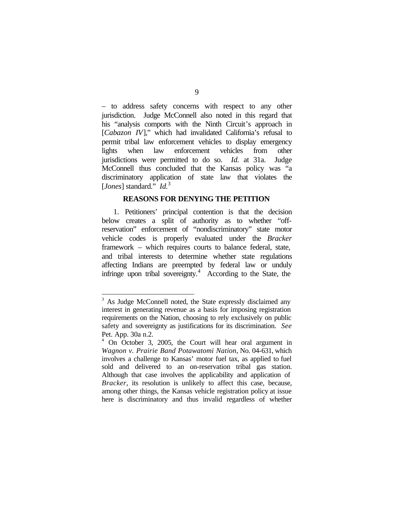– to address safety concerns with respect to any other jurisdiction. Judge McConnell also noted in this regard that his "analysis comports with the Ninth Circuit's approach in [*Cabazon IV*]," which had invalidated California's refusal to permit tribal law enforcement vehicles to display emergency lights when law enforcement vehicles from other jurisdictions were permitted to do so. *Id.* at 31a. Judge McConnell thus concluded that the Kansas policy was "a discriminatory application of state law that violates the [*Jones*] standard." *Id.*<sup>3</sup>

#### **REASONS FOR DENYING THE PETITION**

1. Petitioners' principal contention is that the decision below creates a split of authority as to whether "offreservation" enforcement of "nondiscriminatory" state motor vehicle codes is properly evaluated under the *Bracker*  framework – which requires courts to balance federal, state, and tribal interests to determine whether state regulations affecting Indians are preempted by federal law or unduly infringe upon tribal sovereignty.<sup>4</sup> According to the State, the

<sup>&</sup>lt;sup>3</sup> As Judge McConnell noted, the State expressly disclaimed any interest in generating revenue as a basis for imposing registration requirements on the Nation, choosing to rely exclusively on public safety and sovereignty as justifications for its discrimination. *See* Pet. App. 30a n.2.

<sup>4</sup> On October 3, 2005, the Court will hear oral argument in *Wagnon v. Prairie Band Potawatomi Nation*, No. 04-631, which involves a challenge to Kansas' motor fuel tax, as applied to fuel sold and delivered to an on-reservation tribal gas station. Although that case involves the applicability and application of *Bracker*, its resolution is unlikely to affect this case, because, among other things, the Kansas vehicle registration policy at issue here is discriminatory and thus invalid regardless of whether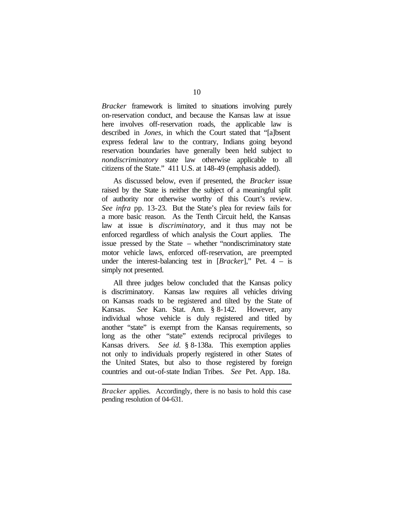*Bracker* framework is limited to situations involving purely on-reservation conduct, and because the Kansas law at issue here involves off-reservation roads, the applicable law is described in *Jones*, in which the Court stated that "[a]bsent express federal law to the contrary, Indians going beyond reservation boundaries have generally been held subject to *nondiscriminatory* state law otherwise applicable to all citizens of the State." 411 U.S. at 148-49 (emphasis added).

As discussed below, even if presented, the *Bracker* issue raised by the State is neither the subject of a meaningful split of authority nor otherwise worthy of this Court's review. *See infra* pp. 13-23. But the State's plea for review fails for a more basic reason. As the Tenth Circuit held, the Kansas law at issue is *discriminatory*, and it thus may not be enforced regardless of which analysis the Court applies. The issue pressed by the State – whether "nondiscriminatory state motor vehicle laws, enforced off-reservation, are preempted under the interest-balancing test in [*Bracker*]," Pet. 4 – is simply not presented.

All three judges below concluded that the Kansas policy is discriminatory. Kansas law requires all vehicles driving on Kansas roads to be registered and tilted by the State of Kansas. *See* Kan. Stat. Ann. § 8-142. However, any individual whose vehicle is duly registered and titled by another "state" is exempt from the Kansas requirements, so long as the other "state" extends reciprocal privileges to Kansas drivers. *See id.* § 8-138a. This exemption applies not only to individuals properly registered in other States of the United States, but also to those registered by foreign countries and out-of-state Indian Tribes. *See* Pet. App. 18a.

*Bracker* applies. Accordingly, there is no basis to hold this case pending resolution of 04-631.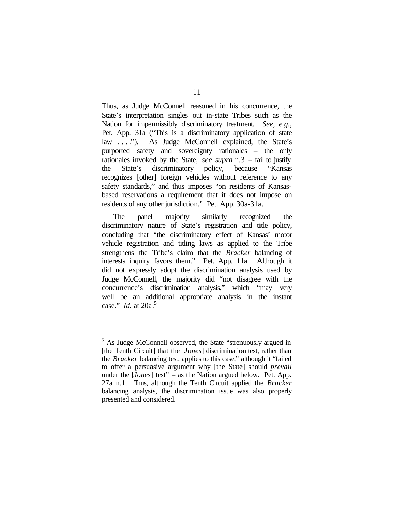Thus, as Judge McConnell reasoned in his concurrence, the State's interpretation singles out in-state Tribes such as the Nation for impermissibly discriminatory treatment. *See, e.g.*, Pet. App. 31a ("This is a discriminatory application of state law . . . ."). As Judge McConnell explained, the State's purported safety and sovereignty rationales – the only rationales invoked by the State, *see supra* n.3 – fail to justify the State's discriminatory policy, because "Kansas recognizes [other] foreign vehicles without reference to any safety standards," and thus imposes "on residents of Kansasbased reservations a requirement that it does not impose on residents of any other jurisdiction." Pet. App. 30a-31a.

The panel majority similarly recognized the discriminatory nature of State's registration and title policy, concluding that "the discriminatory effect of Kansas' motor vehicle registration and titling laws as applied to the Tribe strengthens the Tribe's claim that the *Bracker* balancing of interests inquiry favors them." Pet. App. 11a. Although it did not expressly adopt the discrimination analysis used by Judge McConnell, the majority did "not disagree with the concurrence's discrimination analysis," which "may very well be an additional appropriate analysis in the instant case." *Id.* at 20a.<sup>5</sup>

<sup>&</sup>lt;sup>5</sup> As Judge McConnell observed, the State "strenuously argued in [the Tenth Circuit] that the [*Jones*] discrimination test, rather than the *Bracker* balancing test, applies to this case," although it "failed to offer a persuasive argument why [the State] should *prevail*  under the [*Jones*] test" – as the Nation argued below. Pet. App. 27a n.1. Thus, although the Tenth Circuit applied the *Bracker*  balancing analysis, the discrimination issue was also properly presented and considered.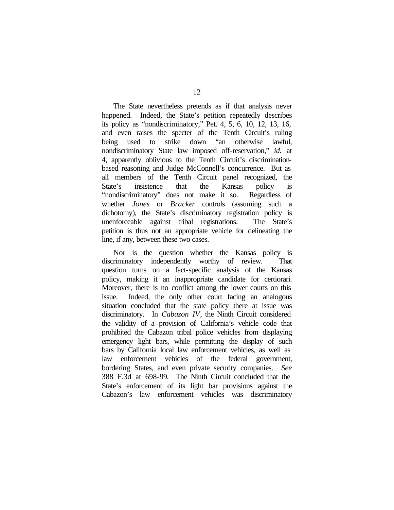The State nevertheless pretends as if that analysis never happened. Indeed, the State's petition repeatedly describes its policy as "nondiscriminatory," Pet. 4, 5, 6, 10, 12, 13, 16, and even raises the specter of the Tenth Circuit's ruling being used to strike down "an otherwise lawful, nondiscriminatory State law imposed off-reservation," *id.* at 4, apparently oblivious to the Tenth Circuit's discriminationbased reasoning and Judge McConnell's concurrence. But as all members of the Tenth Circuit panel recognized, the State's insistence that the Kansas policy is "nondiscriminatory" does not make it so. Regardless of whether *Jones* or *Bracker* controls (assuming such a dichotomy), the State's discriminatory registration policy is unenforceable against tribal registrations. The State's petition is thus not an appropriate vehicle for delineating the line, if any, between these two cases.

Nor is the question whether the Kansas policy is discriminatory independently worthy of review. That question turns on a fact-specific analysis of the Kansas policy, making it an inappropriate candidate for certiorari. Moreover, there is no conflict among the lower courts on this issue. Indeed, the only other court facing an analogous situation concluded that the state policy there at issue was discriminatory. In *Cabazon IV*, the Ninth Circuit considered the validity of a provision of California's vehicle code that prohibited the Cabazon tribal police vehicles from displaying emergency light bars, while permitting the display of such bars by California local law enforcement vehicles, as well as law enforcement vehicles of the federal government, bordering States, and even private security companies. *See*  388 F.3d at 698-99. The Ninth Circuit concluded that the State's enforcement of its light bar provisions against the Cabazon's law enforcement vehicles was discriminatory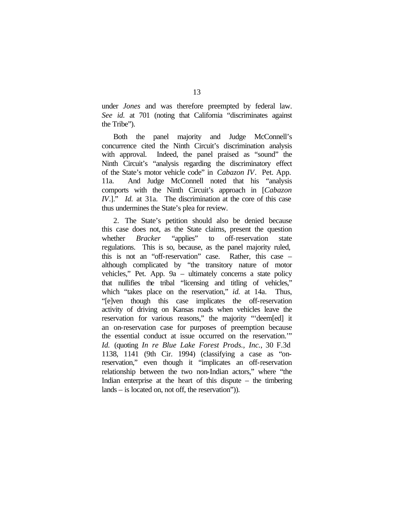under *Jones* and was therefore preempted by federal law. *See id.* at 701 (noting that California "discriminates against the Tribe").

Both the panel majority and Judge McConnell's concurrence cited the Ninth Circuit's discrimination analysis with approval. Indeed, the panel praised as "sound" the Ninth Circuit's "analysis regarding the discriminatory effect of the State's motor vehicle code" in *Cabazon IV*. Pet. App. 11a. And Judge McConnell noted that his "analysis comports with the Ninth Circuit's approach in [*Cabazon IV*.]." *Id.* at 31a. The discrimination at the core of this case thus undermines the State's plea for review.

2. The State's petition should also be denied because this case does not, as the State claims, present the question whether *Bracker* "applies" to off-reservation state regulations. This is so, because, as the panel majority ruled, this is not an "off-reservation" case. Rather, this case – although complicated by "the transitory nature of motor vehicles," Pet. App. 9a – ultimately concerns a state policy that nullifies the tribal "licensing and titling of vehicles," which "takes place on the reservation," *id.* at 14a. Thus, "[e]ven though this case implicates the off-reservation activity of driving on Kansas roads when vehicles leave the reservation for various reasons," the majority "'deem[ed] it an on-reservation case for purposes of preemption because the essential conduct at issue occurred on the reservation.'" *Id.* (quoting *In re Blue Lake Forest Prods., Inc.*, 30 F.3d 1138, 1141 (9th Cir. 1994) (classifying a case as "onreservation," even though it "implicates an off-reservation relationship between the two non-Indian actors," where "the Indian enterprise at the heart of this dispute – the timbering lands – is located on, not off, the reservation")).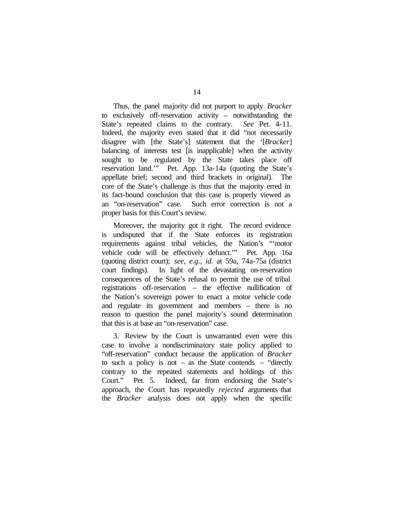Thus, the panel majority did not purport to apply *Bracker*  to exclusively off-reservation activity – notwithstanding the State's repeated claims to the contrary. *See* Pet. 4-11. Indeed, the majority even stated that it did "not necessarily disagree with [the State's] statement that the '[*Bracker*] balancing of interests test [is inapplicable] when the activity sought to be regulated by the State takes place off reservation land.'" Pet. App. 13a-14a (quoting the State's appellate brief; second and third brackets in original). The core of the State's challenge is thus that the majority erred in its fact-bound conclusion that this case is properly viewed as an "on-reservation" case. Such error correction is not a proper basis for this Court's review.

Moreover, the majority got it right. The record evidence is undisputed that if the State enforces its registration requirements against tribal vehicles, the Nation's "'motor vehicle code will be effectively defunct.'" Pet. App. 16a (quoting district court); *see, e.g.*, *id.* at 59a, 74a-75a (district court findings). In light of the devastating on-reservation consequences of the State's refusal to permit the use of tribal registrations off-reservation – the effective nullification of the Nation's sovereign power to enact a motor vehicle code and regulate its government and members – there is no reason to question the panel majority's sound determination that this is at base an "on-reservation" case.

3. Review by the Court is unwarranted even were this case to involve a nondiscriminatory state policy applied to "off-reservation" conduct because the application of *Bracker*  to such a policy is not – as the State contends – "directly contrary to the repeated statements and holdings of this Court." Pet. 5. Indeed, far from endorsing the State's approach, the Court has repeatedly *rejected* arguments that the *Bracker* analysis does not apply when the specific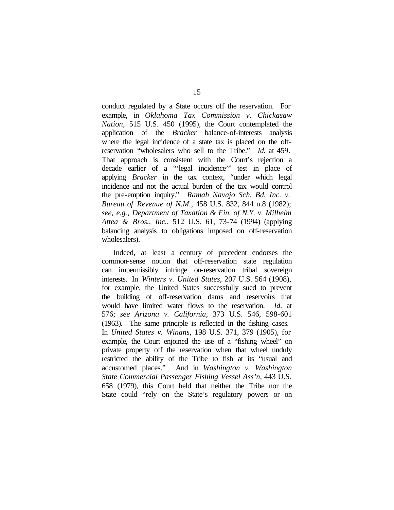conduct regulated by a State occurs off the reservation. For example, in *Oklahoma Tax Commission v. Chickasaw Nation*, 515 U.S. 450 (1995), the Court contemplated the application of the *Bracker* balance-of-interests analysis where the legal incidence of a state tax is placed on the offreservation "wholesalers who sell to the Tribe." *Id.* at 459. That approach is consistent with the Court's rejection a decade earlier of a "'legal incidence'" test in place of applying *Bracker* in the tax context, "under which legal incidence and not the actual burden of the tax would control the pre-emption inquiry." *Ramah Navajo Sch. Bd. Inc. v. Bureau of Revenue of N.M.*, 458 U.S. 832, 844 n.8 (1982); *see, e.g.*, *Department of Taxation & Fin. of N.Y. v. Milhelm Attea & Bros., Inc.*, 512 U.S. 61, 73-74 (1994) (applying balancing analysis to obligations imposed on off-reservation wholesalers).

Indeed, at least a century of precedent endorses the common-sense notion that off-reservation state regulation can impermissibly infringe on-reservation tribal sovereign interests. In *Winters v. United States*, 207 U.S. 564 (1908), for example, the United States successfully sued to prevent the building of off-reservation dams and reservoirs that would have limited water flows to the reservation. *Id.* at 576; *see Arizona v. California*, 373 U.S. 546, 598-601 (1963). The same principle is reflected in the fishing cases. In *United States v. Winans*, 198 U.S. 371, 379 (1905), for example, the Court enjoined the use of a "fishing wheel" on private property off the reservation when that wheel unduly restricted the ability of the Tribe to fish at its "usual and accustomed places." And in *Washington v. Washington State Commercial Passenger Fishing Vessel Ass'n*, 443 U.S. 658 (1979), this Court held that neither the Tribe nor the State could "rely on the State's regulatory powers or on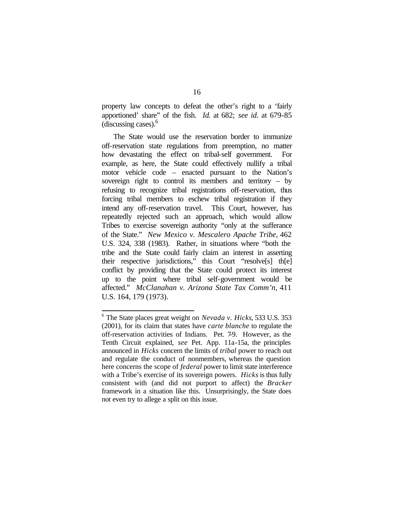property law concepts to defeat the other's right to a 'fairly apportioned' share" of the fish. *Id.* at 682; *see id.* at 679-85 (discussing cases).<sup>6</sup>

The State would use the reservation border to immunize off-reservation state regulations from preemption, no matter how devastating the effect on tribal-self government. For example, as here, the State could effectively nullify a tribal motor vehicle code – enacted pursuant to the Nation's sovereign right to control its members and territory  $-$  by refusing to recognize tribal registrations off-reservation, thus forcing tribal members to eschew tribal registration if they intend any off-reservation travel. This Court, however, has repeatedly rejected such an approach, which would allow Tribes to exercise sovereign authority "only at the sufferance of the State." *New Mexico v. Mescalero Apache Tribe*, 462 U.S. 324, 338 (1983). Rather, in situations where "both the tribe and the State could fairly claim an interest in asserting their respective jurisdictions," this Court "resolve[s] th[e] conflict by providing that the State could protect its interest up to the point where tribal self-government would be affected." *McClanahan v. Arizona State Tax Comm'n*, 411 U.S. 164, 179 (1973).

<sup>6</sup> The State places great weight on *Nevada v. Hicks*, 533 U.S. 353 (2001), for its claim that states have *carte blanche* to regulate the off-reservation activities of Indians. Pet. 7-9. However, as the Tenth Circuit explained, *see* Pet. App. 11a-15a, the principles announced in *Hicks* concern the limits of *tribal* power to reach out and regulate the conduct of nonmembers, whereas the question here concerns the scope of *federal* power to limit state interference with a Tribe's exercise of its sovereign powers. *Hicks* is thus fully consistent with (and did not purport to affect) the *Bracker* framework in a situation like this. Unsurprisingly, the State does not even try to allege a split on this issue.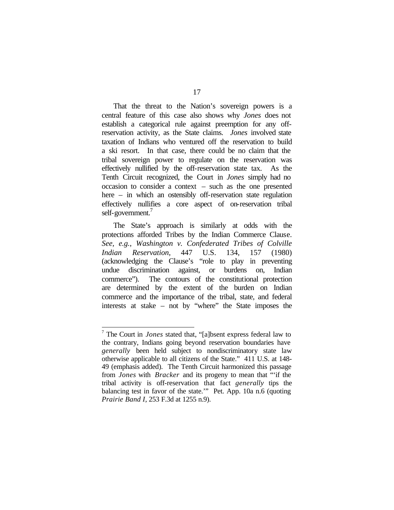That the threat to the Nation's sovereign powers is a central feature of this case also shows why *Jones* does not establish a categorical rule against preemption for any offreservation activity, as the State claims. *Jones* involved state taxation of Indians who ventured off the reservation to build a ski resort. In that case, there could be no claim that the tribal sovereign power to regulate on the reservation was effectively nullified by the off-reservation state tax. As the Tenth Circuit recognized, the Court in *Jones* simply had no occasion to consider a context – such as the one presented here – in which an ostensibly off-reservation state regulation effectively nullifies a core aspect of on-reservation tribal self-government.<sup>7</sup>

The State's approach is similarly at odds with the protections afforded Tribes by the Indian Commerce Clause. *See, e.g.*, *Washington v. Confederated Tribes of Colville Indian Reservation*, 447 U.S. 134, 157 (1980) (acknowledging the Clause's "role to play in preventing undue discrimination against, or burdens on, Indian commerce"). The contours of the constitutional protection are determined by the extent of the burden on Indian commerce and the importance of the tribal, state, and federal interests at stake – not by "where" the State imposes the

<sup>7</sup> The Court in *Jones* stated that, "[a]bsent express federal law to the contrary, Indians going beyond reservation boundaries have *generally* been held subject to nondiscriminatory state law otherwise applicable to all citizens of the State." 411 U.S. at 148- 49 (emphasis added). The Tenth Circuit harmonized this passage from *Jones* with *Bracker* and its progeny to mean that "'if the tribal activity is off-reservation that fact *generally* tips the balancing test in favor of the state.'" Pet. App. 10a n.6 (quoting *Prairie Band I*, 253 F.3d at 1255 n.9).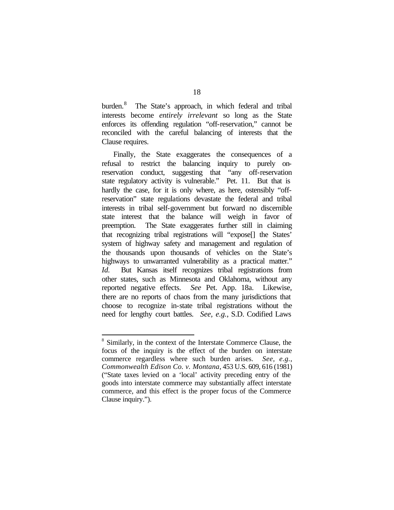burden.<sup>8</sup> The State's approach, in which federal and tribal interests become *entirely irrelevant* so long as the State enforces its offending regulation "off-reservation," cannot be reconciled with the careful balancing of interests that the Clause requires.

Finally, the State exaggerates the consequences of a refusal to restrict the balancing inquiry to purely onreservation conduct, suggesting that "any off-reservation state regulatory activity is vulnerable." Pet. 11. But that is hardly the case, for it is only where, as here, ostensibly "offreservation" state regulations devastate the federal and tribal interests in tribal self-government but forward no discernible state interest that the balance will weigh in favor of preemption. The State exaggerates further still in claiming that recognizing tribal registrations will "expose[] the States' system of highway safety and management and regulation of the thousands upon thousands of vehicles on the State's highways to unwarranted vulnerability as a practical matter." *Id.* But Kansas itself recognizes tribal registrations from other states, such as Minnesota and Oklahoma, without any reported negative effects. *See* Pet. App. 18a. Likewise, there are no reports of chaos from the many jurisdictions that choose to recognize in-state tribal registrations without the need for lengthy court battles. *See, e.g.*, S.D. Codified Laws

<sup>&</sup>lt;sup>8</sup> Similarly, in the context of the Interstate Commerce Clause, the focus of the inquiry is the effect of the burden on interstate commerce regardless where such burden arises. *See, e.g.*, *Commonwealth Edison Co. v. Montana*, 453 U.S. 609, 616 (1981) ("State taxes levied on a 'local' activity preceding entry of the goods into interstate commerce may substantially affect interstate commerce, and this effect is the proper focus of the Commerce Clause inquiry.").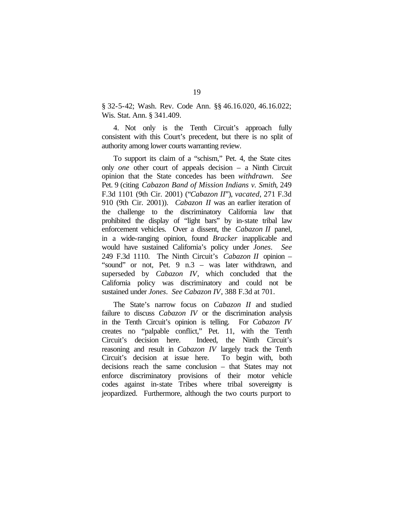§ 32-5-42; Wash. Rev. Code Ann. §§ 46.16.020, 46.16.022; Wis. Stat. Ann. § 341.409.

4. Not only is the Tenth Circuit's approach fully consistent with this Court's precedent, but there is no split of authority among lower courts warranting review.

To support its claim of a "schism," Pet. 4, the State cites only *one* other court of appeals decision – a Ninth Circuit opinion that the State concedes has been *withdrawn*. *See*  Pet. 9 (citing *Cabazon Band of Mission Indians v. Smith*, 249 F.3d 1101 (9th Cir. 2001) ("*Cabazon II*"), *vacated*, 271 F.3d 910 (9th Cir. 2001)). *Cabazon II* was an earlier iteration of the challenge to the discriminatory California law that prohibited the display of "light bars" by in-state tribal law enforcement vehicles. Over a dissent, the *Cabazon II* panel, in a wide-ranging opinion, found *Bracker* inapplicable and would have sustained California's policy under *Jones*. *See*  249 F.3d 1110. The Ninth Circuit's *Cabazon II* opinion – "sound" or not, Pet. 9 n.3 – was later withdrawn, and superseded by *Cabazon IV*, which concluded that the California policy was discriminatory and could not be sustained under *Jones*. *See Cabazon IV*, 388 F.3d at 701.

The State's narrow focus on *Cabazon II* and studied failure to discuss *Cabazon IV* or the discrimination analysis in the Tenth Circuit's opinion is telling. For *Cabazon IV* creates no "palpable conflict," Pet. 11, with the Tenth Circuit's decision here. Indeed, the Ninth Circuit's reasoning and result in *Cabazon IV* largely track the Tenth Circuit's decision at issue here. To begin with, both decisions reach the same conclusion – that States may not enforce discriminatory provisions of their motor vehicle codes against in-state Tribes where tribal sovereignty is jeopardized. Furthermore, although the two courts purport to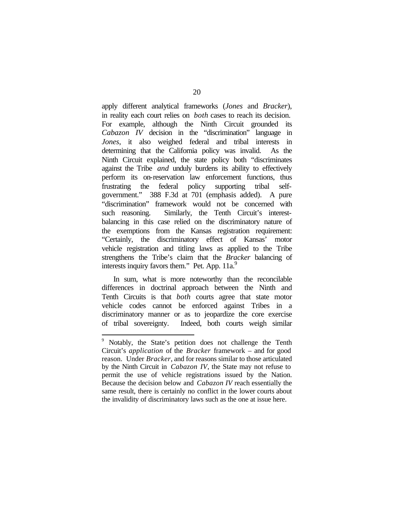apply different analytical frameworks (*Jones* and *Bracker*), in reality each court relies on *both* cases to reach its decision. For example, although the Ninth Circuit grounded its *Cabazon IV* decision in the "discrimination" language in *Jones*, it also weighed federal and tribal interests in determining that the California policy was invalid. As the Ninth Circuit explained, the state policy both "discriminates against the Tribe *and* unduly burdens its ability to effectively perform its on-reservation law enforcement functions, thus frustrating the federal policy supporting tribal selfgovernment." 388 F.3d at 701 (emphasis added). A pure "discrimination" framework would not be concerned with such reasoning. Similarly, the Tenth Circuit's interestbalancing in this case relied on the discriminatory nature of the exemptions from the Kansas registration requirement: "Certainly, the discriminatory effect of Kansas' motor vehicle registration and titling laws as applied to the Tribe strengthens the Tribe's claim that the *Bracker* balancing of interests inquiry favors them." Pet. App. 11a.<sup>9</sup>

In sum, what is more noteworthy than the reconcilable differences in doctrinal approach between the Ninth and Tenth Circuits is that *both* courts agree that state motor vehicle codes cannot be enforced against Tribes in a discriminatory manner or as to jeopardize the core exercise of tribal sovereignty. Indeed, both courts weigh similar

<sup>&</sup>lt;sup>9</sup> Notably, the State's petition does not challenge the Tenth Circuit's *application* of the *Bracker* framework – and for good reason. Under *Bracker*, and for reasons similar to those articulated by the Ninth Circuit in *Cabazon IV*, the State may not refuse to permit the use of vehicle registrations issued by the Nation. Because the decision below and *Cabazon IV* reach essentially the same result, there is certainly no conflict in the lower courts about the invalidity of discriminatory laws such as the one at issue here.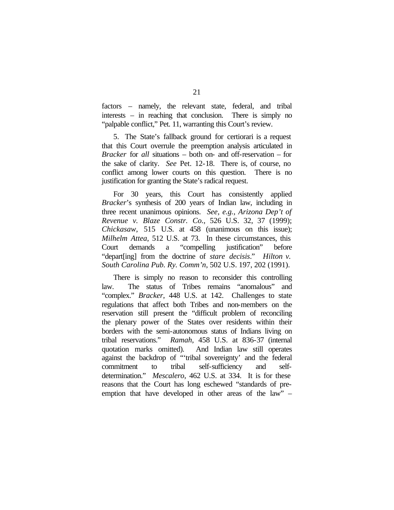factors – namely, the relevant state, federal, and tribal interests – in reaching that conclusion. There is simply no "palpable conflict," Pet. 11, warranting this Court's review.

5. The State's fallback ground for certiorari is a request that this Court overrule the preemption analysis articulated in *Bracker* for *all* situations – both on- and off-reservation – for the sake of clarity. *See* Pet. 12-18. There is, of course, no conflict among lower courts on this question. There is no justification for granting the State's radical request.

For 30 years, this Court has consistently applied *Bracker*'s synthesis of 200 years of Indian law, including in three recent unanimous opinions. *See, e.g.*, *Arizona Dep't of Revenue v. Blaze Constr. Co.*, 526 U.S. 32, 37 (1999); *Chickasaw*, 515 U.S. at 458 (unanimous on this issue); *Milhelm Attea*, 512 U.S. at 73. In these circumstances, this Court demands a "compelling justification" before "depart ling from the doctrine of *stare decisis*." *Hilton v. South Carolina Pub. Ry. Comm'n*, 502 U.S. 197, 202 (1991).

There is simply no reason to reconsider this controlling law. The status of Tribes remains "anomalous" and "complex." *Bracker*, 448 U.S. at 142. Challenges to state regulations that affect both Tribes and non-members on the reservation still present the "difficult problem of reconciling the plenary power of the States over residents within their borders with the semi-autonomous status of Indians living on tribal reservations." *Ramah*, 458 U.S. at 836-37 (internal quotation marks omitted). And Indian law still operates against the backdrop of "'tribal sovereignty' and the federal commitment to tribal self-sufficiency and selfdetermination." *Mescalero*, 462 U.S. at 334. It is for these reasons that the Court has long eschewed "standards of preemption that have developed in other areas of the law" –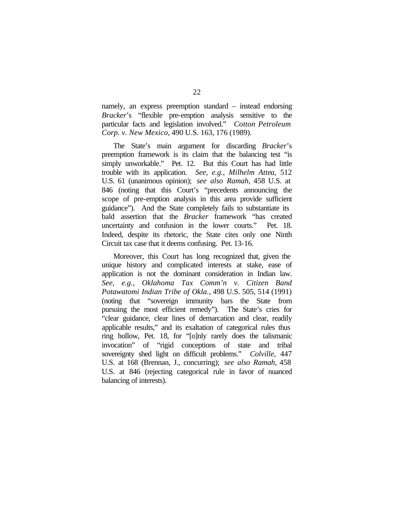namely, an express preemption standard – instead endorsing *Bracker*'s "flexible pre-emption analysis sensitive to the particular facts and legislation involved." *Cotton Petroleum Corp. v. New Mexico*, 490 U.S. 163, 176 (1989).

The State's main argument for discarding *Bracker*'s preemption framework is its claim that the balancing test "is simply unworkable." Pet. 12. But this Court has had little trouble with its application. *See, e.g.*, *Milhelm Attea*, 512 U.S. 61 (unanimous opinion); *see also Ramah*, 458 U.S. at 846 (noting that this Court's "precedents announcing the scope of pre-emption analysis in this area provide sufficient guidance"). And the State completely fails to substantiate its bald assertion that the *Bracker* framework "has created uncertainty and confusion in the lower courts." Pet. 18. Indeed, despite its rhetoric, the State cites only one Ninth Circuit tax case that it deems confusing. Pet. 13-16.

Moreover, this Court has long recognized that, given the unique history and complicated interests at stake, ease of application is not the dominant consideration in Indian law. *See, e.g., Oklahoma Tax Comm'n v. Citizen Band Potawatomi Indian Tribe of Okla.*, 498 U.S. 505, 514 (1991) (noting that "sovereign immunity bars the State from pursuing the most efficient remedy"). The State's cries for "clear guidance, clear lines of demarcation and clear, readily applicable results," and its exaltation of categorical rules thus ring hollow, Pet. 18, for "[o]nly rarely does the talismanic invocation" of "rigid conceptions of state and tribal sovereignty shed light on difficult problems." *Colville*, 447 U.S. at 168 (Brennan, J., concurring); *see also Ramah*, 458 U.S. at 846 (rejecting categorical rule in favor of nuanced balancing of interests).